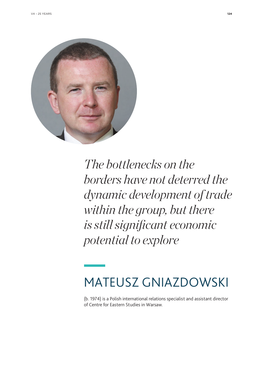

*The bottlenecks on the borders have not deterred the dynamic development of trade within the group, but there is still significant economic potential to explore*

## MATEUSZ GNIAZDOWSKI

(b. 1974) is a Polish international relations specialist and assistant director of Centre for Eastern Studies in Warsaw.